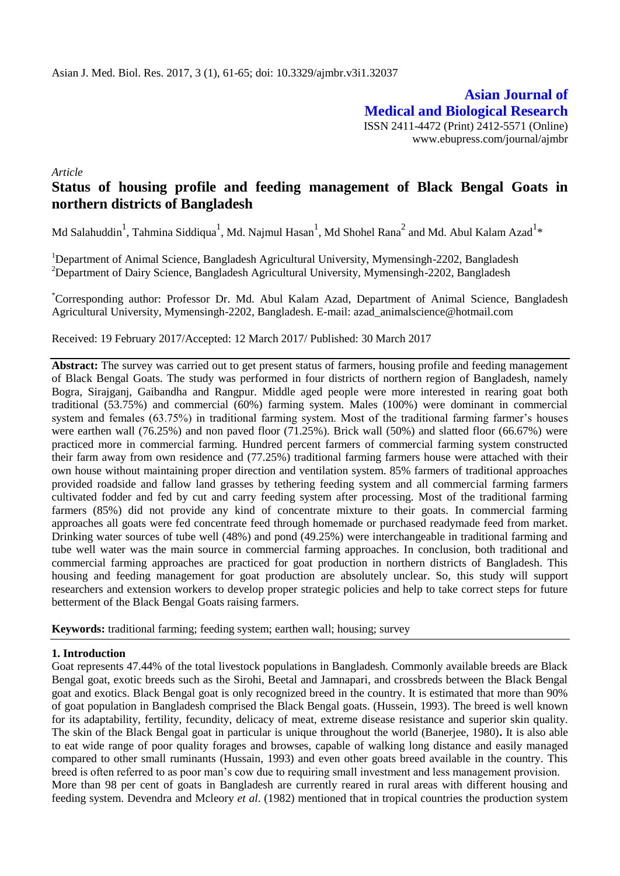**Asian Journal of Medical and Biological Research** ISSN 2411-4472 (Print) 2412-5571 (Online) www.ebupress.com/journal/ajmbr

*Article*

# **Status of housing profile and feeding management of Black Bengal Goats in northern districts of Bangladesh**

Md Salahuddin<sup>1</sup>, Tahmina Siddiqua<sup>1</sup>, Md. Najmul Hasan<sup>1</sup>, Md Shohel Rana<sup>2</sup> and Md. Abul Kalam Azad<sup>1</sup>\*

<sup>1</sup>Department of Animal Science, Bangladesh Agricultural University, Mymensingh-2202, Bangladesh <sup>2</sup>Department of Dairy Science, Bangladesh Agricultural University, Mymensingh-2202, Bangladesh

\*Corresponding author: Professor Dr. Md. Abul Kalam Azad, Department of Animal Science, Bangladesh Agricultural University, Mymensingh-2202, Bangladesh. E-mail: azad\_animalscience@hotmail.com

Received: 19 February 2017/Accepted: 12 March 2017/ Published: 30 March 2017

**Abstract:** The survey was carried out to get present status of farmers, housing profile and feeding management of Black Bengal Goats. The study was performed in four districts of northern region of Bangladesh, namely Bogra, Sirajganj, Gaibandha and Rangpur. Middle aged people were more interested in rearing goat both traditional (53.75%) and commercial (60%) farming system. Males (100%) were dominant in commercial system and females (63.75%) in traditional farming system. Most of the traditional farming farmer's houses were earthen wall (76.25%) and non paved floor (71.25%). Brick wall (50%) and slatted floor (66.67%) were practiced more in commercial farming. Hundred percent farmers of commercial farming system constructed their farm away from own residence and (77.25%) traditional farming farmers house were attached with their own house without maintaining proper direction and ventilation system. 85% farmers of traditional approaches provided roadside and fallow land grasses by tethering feeding system and all commercial farming farmers cultivated fodder and fed by cut and carry feeding system after processing. Most of the traditional farming farmers (85%) did not provide any kind of concentrate mixture to their goats. In commercial farming approaches all goats were fed concentrate feed through homemade or purchased readymade feed from market. Drinking water sources of tube well (48%) and pond (49.25%) were interchangeable in traditional farming and tube well water was the main source in commercial farming approaches. In conclusion, both traditional and commercial farming approaches are practiced for goat production in northern districts of Bangladesh. This housing and feeding management for goat production are absolutely unclear. So, this study will support researchers and extension workers to develop proper strategic policies and help to take correct steps for future betterment of the Black Bengal Goats raising farmers.

**Keywords:** traditional farming; feeding system; earthen wall; housing; survey

# **1. Introduction**

Goat represents 47.44% of the total livestock populations in Bangladesh. Commonly available breeds are Black Bengal goat, exotic breeds such as the Sirohi, Beetal and Jamnapari, and crossbreds between the Black Bengal goat and exotics. Black Bengal goat is only recognized breed in the country. It is estimated that more than 90% of goat population in Bangladesh comprised the Black Bengal goats. (Hussein, 1993). The breed is well known for its adaptability, fertility, fecundity, delicacy of meat, extreme disease resistance and superior skin quality. The skin of the Black Bengal goat in particular is unique throughout the world (Banerjee, 1980)**.** It is also able to eat wide range of poor quality forages and browses, capable of walking long distance and easily managed compared to other small ruminants (Hussain, 1993) and even other goats breed available in the country. This breed is often referred to as poor man's cow due to requiring small investment and less management provision. More than 98 per cent of goats in Bangladesh are currently reared in rural areas with different housing and feeding system. Devendra and Mcleory *et al*. (1982) mentioned that in tropical countries the production system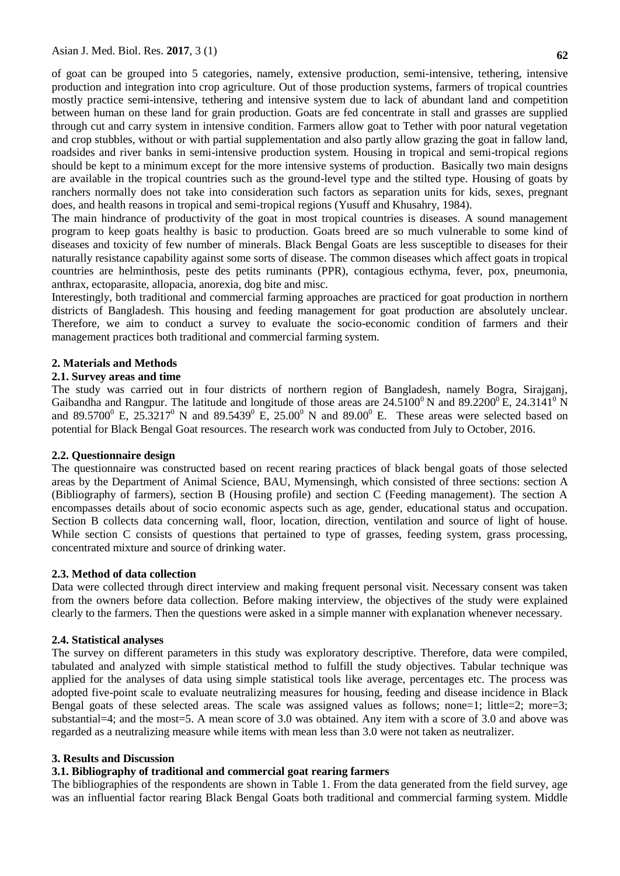of goat can be grouped into 5 categories, namely, extensive production, semi-intensive, tethering, intensive production and integration into crop agriculture. Out of those production systems, farmers of tropical countries mostly practice semi-intensive, tethering and intensive system due to lack of abundant land and competition between human on these land for grain production. Goats are fed concentrate in stall and grasses are supplied through cut and carry system in intensive condition. Farmers allow goat to Tether with poor natural vegetation and crop stubbles, without or with partial supplementation and also partly allow grazing the goat in fallow land, roadsides and river banks in semi-intensive production system. Housing in tropical and semi-tropical regions should be kept to a minimum except for the more intensive systems of production. Basically two main designs are available in the tropical countries such as the ground-level type and the stilted type. Housing of goats by ranchers normally does not take into consideration such factors as separation units for kids, sexes, pregnant does, and health reasons in tropical and semi-tropical regions (Yusuff and Khusahry, 1984).

The main hindrance of productivity of the goat in most tropical countries is diseases. A sound management program to keep goats healthy is basic to production. Goats breed are so much vulnerable to some kind of diseases and toxicity of few number of minerals. Black Bengal Goats are less susceptible to diseases for their naturally resistance capability against some sorts of disease. The common diseases which affect goats in tropical countries are helminthosis, peste des petits ruminants (PPR), contagious ecthyma, fever, pox, pneumonia, anthrax, ectoparasite, allopacia, anorexia, dog bite and misc.

Interestingly, both traditional and commercial farming approaches are practiced for goat production in northern districts of Bangladesh. This housing and feeding management for goat production are absolutely unclear. Therefore, we aim to conduct a survey to evaluate the socio-economic condition of farmers and their management practices both traditional and commercial farming system.

### **2. Materials and Methods**

#### **2.1. Survey areas and time**

The study was carried out in four districts of northern region of Bangladesh, namely Bogra, Sirajganj, Gaibandha and Rangpur. The latitude and longitude of those areas are  $24.5100^{\circ}$  N and  $89.2200^{\circ}$  E,  $24.3141^{\circ}$  N and 89.5700<sup>0</sup> E, 25.3217<sup>0</sup> N and 89.5439<sup>0</sup> E, 25.00<sup>0</sup> N and 89.00<sup>0</sup> E. These areas were selected based on potential for Black Bengal Goat resources. The research work was conducted from July to October, 2016.

### **2.2. Questionnaire design**

The questionnaire was constructed based on recent rearing practices of black bengal goats of those selected areas by the Department of Animal Science, BAU, Mymensingh, which consisted of three sections: section A (Bibliography of farmers), section B (Housing profile) and section C (Feeding management). The section A encompasses details about of socio economic aspects such as age, gender, educational status and occupation. Section B collects data concerning wall, floor, location, direction, ventilation and source of light of house. While section C consists of questions that pertained to type of grasses, feeding system, grass processing, concentrated mixture and source of drinking water.

## **2.3. Method of data collection**

Data were collected through direct interview and making frequent personal visit. Necessary consent was taken from the owners before data collection. Before making interview, the objectives of the study were explained clearly to the farmers. Then the questions were asked in a simple manner with explanation whenever necessary.

### **2.4. Statistical analyses**

The survey on different parameters in this study was exploratory descriptive. Therefore, data were compiled, tabulated and analyzed with simple statistical method to fulfill the study objectives. Tabular technique was applied for the analyses of data using simple statistical tools like average, percentages etc. The process was adopted five-point scale to evaluate neutralizing measures for housing, feeding and disease incidence in Black Bengal goats of these selected areas. The scale was assigned values as follows; none=1; little=2; more=3; substantial=4; and the most=5. A mean score of 3.0 was obtained. Any item with a score of 3.0 and above was regarded as a neutralizing measure while items with mean less than 3.0 were not taken as neutralizer.

# **3. Results and Discussion**

# **3.1. Bibliography of traditional and commercial goat rearing farmers**

The bibliographies of the respondents are shown in Table 1. From the data generated from the field survey, age was an influential factor rearing Black Bengal Goats both traditional and commercial farming system. Middle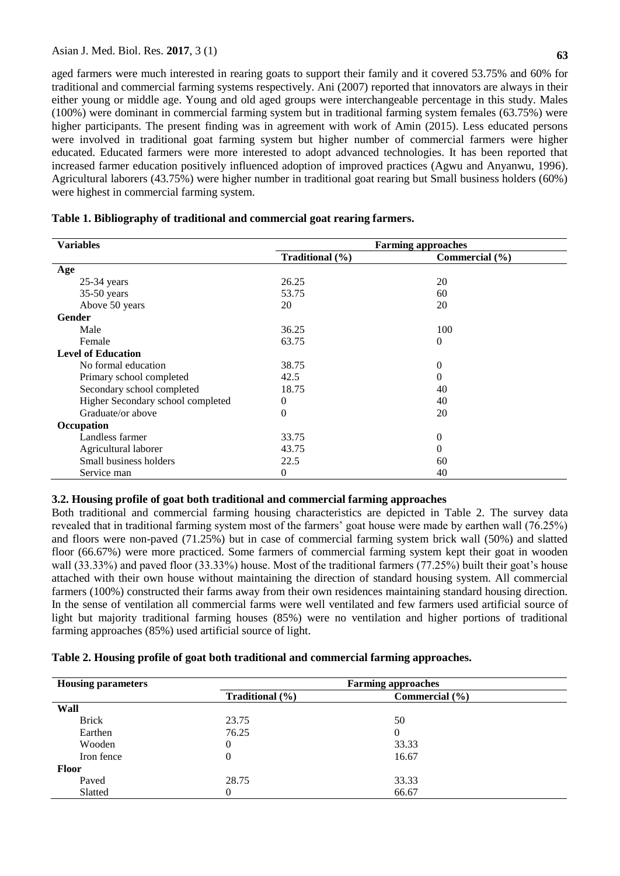aged farmers were much interested in rearing goats to support their family and it covered 53.75% and 60% for traditional and commercial farming systems respectively. Ani (2007) reported that innovators are always in their either young or middle age. Young and old aged groups were interchangeable percentage in this study. Males (100%) were dominant in commercial farming system but in traditional farming system females (63.75%) were higher participants. The present finding was in agreement with work of Amin (2015). Less educated persons were involved in traditional goat farming system but higher number of commercial farmers were higher educated. Educated farmers were more interested to adopt advanced technologies. It has been reported that increased farmer education positively influenced adoption of improved practices (Agwu and Anyanwu, 1996). Agricultural laborers (43.75%) were higher number in traditional goat rearing but Small business holders (60%) were highest in commercial farming system.

| <b>Variables</b>                  | <b>Farming approaches</b> |                |
|-----------------------------------|---------------------------|----------------|
|                                   | Traditional (%)           | Commercial (%) |
| Age                               |                           |                |
| $25-34$ years                     | 26.25                     | 20             |
| 35-50 years                       | 53.75                     | 60             |
| Above 50 years                    | 20                        | 20             |
| Gender                            |                           |                |
| Male                              | 36.25                     | 100            |
| Female                            | 63.75                     | 0              |
| <b>Level of Education</b>         |                           |                |
| No formal education               | 38.75                     | $\overline{0}$ |
| Primary school completed          | 42.5                      | $\theta$       |
| Secondary school completed        | 18.75                     | 40             |
| Higher Secondary school completed | $\boldsymbol{0}$          | 40             |
| Graduate/or above                 | $\Omega$                  | 20             |
| Occupation                        |                           |                |
| Landless farmer                   | 33.75                     | 0              |
| Agricultural laborer              | 43.75                     | $\overline{0}$ |
| Small business holders            | 22.5                      | 60             |
| Service man                       | 0                         | 40             |

# **Table 1. Bibliography of traditional and commercial goat rearing farmers.**

# **3.2. Housing profile of goat both traditional and commercial farming approaches**

Both traditional and commercial farming housing characteristics are depicted in Table 2. The survey data revealed that in traditional farming system most of the farmers' goat house were made by earthen wall (76.25%) and floors were non-paved (71.25%) but in case of commercial farming system brick wall (50%) and slatted floor (66.67%) were more practiced. Some farmers of commercial farming system kept their goat in wooden wall (33.33%) and paved floor (33.33%) house. Most of the traditional farmers (77.25%) built their goat's house attached with their own house without maintaining the direction of standard housing system. All commercial farmers (100%) constructed their farms away from their own residences maintaining standard housing direction. In the sense of ventilation all commercial farms were well ventilated and few farmers used artificial source of light but majority traditional farming houses (85%) were no ventilation and higher portions of traditional farming approaches (85%) used artificial source of light.

## **Table 2. Housing profile of goat both traditional and commercial farming approaches.**

| <b>Housing parameters</b> | <b>Farming approaches</b> |                    |  |
|---------------------------|---------------------------|--------------------|--|
|                           | Traditional $(\% )$       | Commercial $(\% )$ |  |
| Wall                      |                           |                    |  |
| <b>Brick</b>              | 23.75                     | 50                 |  |
| Earthen                   | 76.25                     | $\overline{0}$     |  |
| Wooden                    | $\Omega$                  | 33.33              |  |
| Iron fence                | $\Omega$                  | 16.67              |  |
| <b>Floor</b>              |                           |                    |  |
| Paved                     | 28.75                     | 33.33              |  |
| Slatted                   | 0                         | 66.67              |  |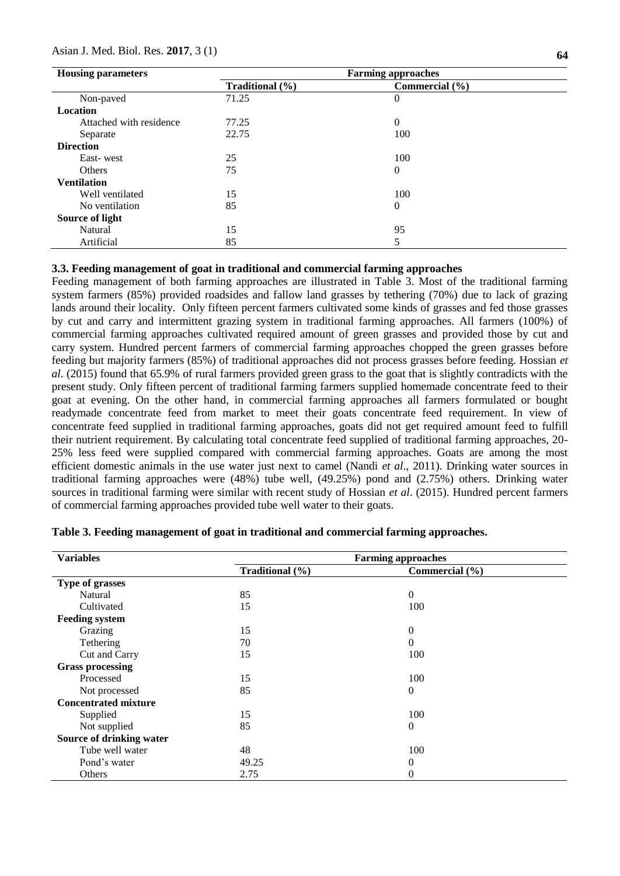### Asian J. Med. Biol. Res. **2017**, 3 (1)

| <b>Housing parameters</b> | <b>Farming approaches</b> |                    |  |
|---------------------------|---------------------------|--------------------|--|
|                           | Traditional (%)           | Commercial $(\% )$ |  |
| Non-paved                 | 71.25                     | $\theta$           |  |
| <b>Location</b>           |                           |                    |  |
| Attached with residence   | 77.25                     | $\theta$           |  |
| Separate                  | 22.75                     | 100                |  |
| <b>Direction</b>          |                           |                    |  |
| East-west                 | 25                        | 100                |  |
| <b>Others</b>             | 75                        | $\overline{0}$     |  |
| <b>Ventilation</b>        |                           |                    |  |
| Well ventilated           | 15                        | 100                |  |
| No ventilation            | 85                        | $\theta$           |  |
| Source of light           |                           |                    |  |
| Natural                   | 15                        | 95                 |  |
| Artificial                | 85                        | 5                  |  |

## **3.3. Feeding management of goat in traditional and commercial farming approaches**

Feeding management of both farming approaches are illustrated in Table 3. Most of the traditional farming system farmers (85%) provided roadsides and fallow land grasses by tethering (70%) due to lack of grazing lands around their locality. Only fifteen percent farmers cultivated some kinds of grasses and fed those grasses by cut and carry and intermittent grazing system in traditional farming approaches. All farmers (100%) of commercial farming approaches cultivated required amount of green grasses and provided those by cut and carry system. Hundred percent farmers of commercial farming approaches chopped the green grasses before feeding but majority farmers (85%) of traditional approaches did not process grasses before feeding. Hossian *et al*. (2015) found that 65.9% of rural farmers provided green grass to the goat that is slightly contradicts with the present study. Only fifteen percent of traditional farming farmers supplied homemade concentrate feed to their goat at evening. On the other hand, in commercial farming approaches all farmers formulated or bought readymade concentrate feed from market to meet their goats concentrate feed requirement. In view of concentrate feed supplied in traditional farming approaches, goats did not get required amount feed to fulfill their nutrient requirement. By calculating total concentrate feed supplied of traditional farming approaches, 20- 25% less feed were supplied compared with commercial farming approaches. Goats are among the most efficient domestic animals in the use water just next to camel (Nandi *et al*., 2011). Drinking water sources in traditional farming approaches were (48%) tube well, (49.25%) pond and (2.75%) others. Drinking water sources in traditional farming were similar with recent study of Hossian *et al*. (2015). Hundred percent farmers of commercial farming approaches provided tube well water to their goats.

| <b>Variables</b>            | <b>Farming approaches</b> |                  |  |
|-----------------------------|---------------------------|------------------|--|
|                             | Traditional (%)           | Commercial (%)   |  |
| Type of grasses             |                           |                  |  |
| Natural                     | 85                        | $\theta$         |  |
| Cultivated                  | 15                        | 100              |  |
| <b>Feeding system</b>       |                           |                  |  |
| Grazing                     | 15                        | 0                |  |
| Tethering                   | 70                        | $\overline{0}$   |  |
| Cut and Carry               | 15                        | 100              |  |
| <b>Grass processing</b>     |                           |                  |  |
| Processed                   | 15                        | 100              |  |
| Not processed               | 85                        | $\boldsymbol{0}$ |  |
| <b>Concentrated mixture</b> |                           |                  |  |
| Supplied                    | 15                        | 100              |  |
| Not supplied                | 85                        | $\theta$         |  |
| Source of drinking water    |                           |                  |  |
| Tube well water             | 48                        | 100              |  |
| Pond's water                | 49.25                     | 0                |  |
| Others                      | 2.75                      | 0                |  |

#### **Table 3. Feeding management of goat in traditional and commercial farming approaches.**